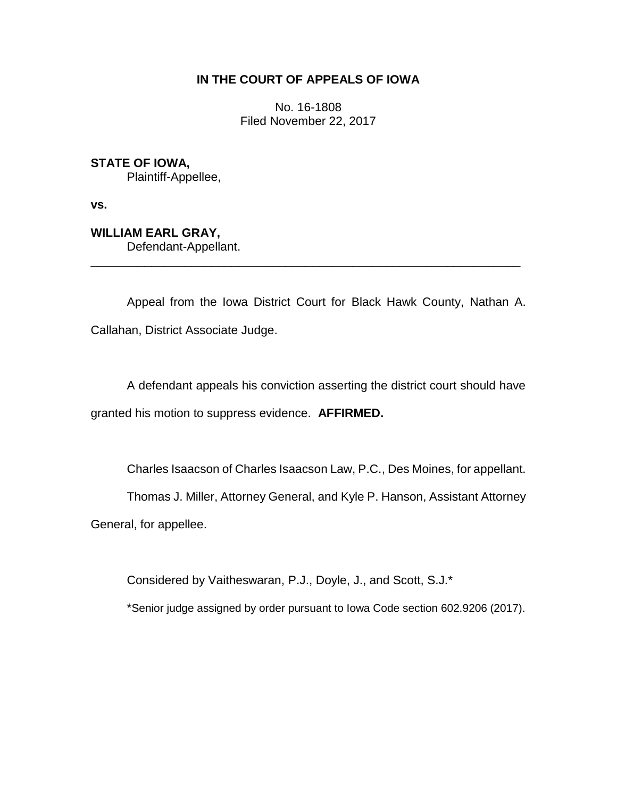## **IN THE COURT OF APPEALS OF IOWA**

No. 16-1808 Filed November 22, 2017

**STATE OF IOWA,** Plaintiff-Appellee,

**vs.**

**WILLIAM EARL GRAY,** Defendant-Appellant.

Appeal from the Iowa District Court for Black Hawk County, Nathan A. Callahan, District Associate Judge.

\_\_\_\_\_\_\_\_\_\_\_\_\_\_\_\_\_\_\_\_\_\_\_\_\_\_\_\_\_\_\_\_\_\_\_\_\_\_\_\_\_\_\_\_\_\_\_\_\_\_\_\_\_\_\_\_\_\_\_\_\_\_\_\_

A defendant appeals his conviction asserting the district court should have granted his motion to suppress evidence. **AFFIRMED.**

Charles Isaacson of Charles Isaacson Law, P.C., Des Moines, for appellant.

Thomas J. Miller, Attorney General, and Kyle P. Hanson, Assistant Attorney

General, for appellee.

Considered by Vaitheswaran, P.J., Doyle, J., and Scott, S.J.\*

\*Senior judge assigned by order pursuant to Iowa Code section 602.9206 (2017).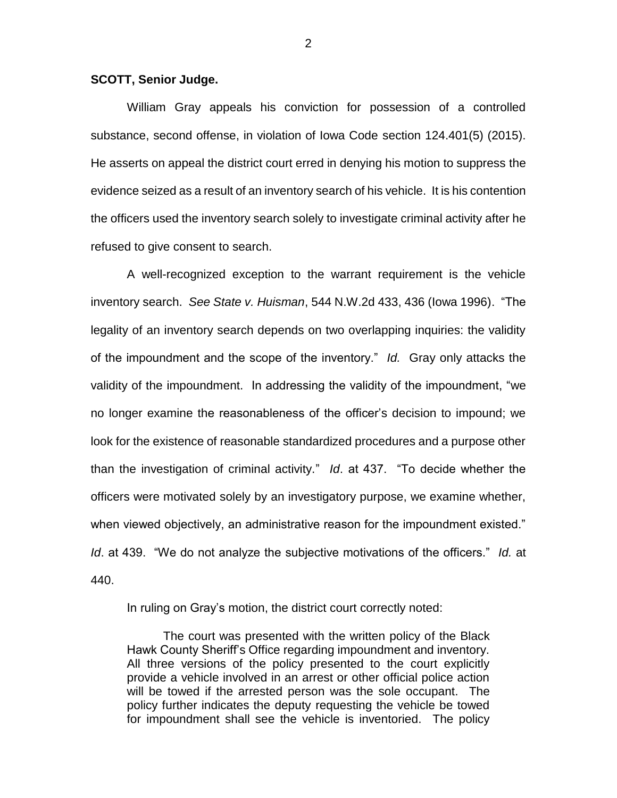## **SCOTT, Senior Judge.**

William Gray appeals his conviction for possession of a controlled substance, second offense, in violation of Iowa Code section 124.401(5) (2015). He asserts on appeal the district court erred in denying his motion to suppress the evidence seized as a result of an inventory search of his vehicle. It is his contention the officers used the inventory search solely to investigate criminal activity after he refused to give consent to search.

A well-recognized exception to the warrant requirement is the vehicle inventory search. *See State v. Huisman*, 544 N.W.2d 433, 436 (Iowa 1996). "The legality of an inventory search depends on two overlapping inquiries: the validity of the impoundment and the scope of the inventory." *Id.* Gray only attacks the validity of the impoundment. In addressing the validity of the impoundment, "we no longer examine the reasonableness of the officer's decision to impound; we look for the existence of reasonable standardized procedures and a purpose other than the investigation of criminal activity." *Id*. at 437. "To decide whether the officers were motivated solely by an investigatory purpose, we examine whether, when viewed objectively, an administrative reason for the impoundment existed." *Id*. at 439. "We do not analyze the subjective motivations of the officers." *Id.* at 440.

In ruling on Gray's motion, the district court correctly noted:

The court was presented with the written policy of the Black Hawk County Sheriff's Office regarding impoundment and inventory. All three versions of the policy presented to the court explicitly provide a vehicle involved in an arrest or other official police action will be towed if the arrested person was the sole occupant. The policy further indicates the deputy requesting the vehicle be towed for impoundment shall see the vehicle is inventoried. The policy

2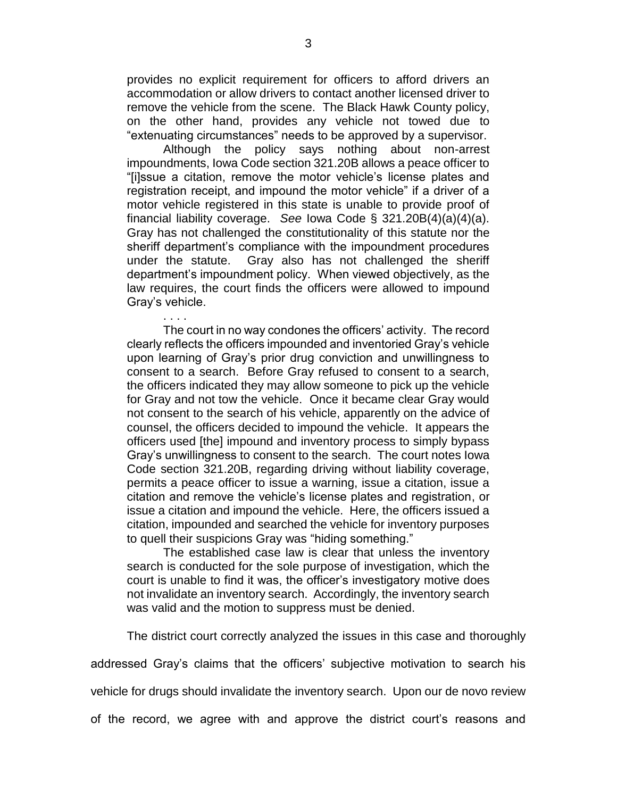provides no explicit requirement for officers to afford drivers an accommodation or allow drivers to contact another licensed driver to remove the vehicle from the scene. The Black Hawk County policy, on the other hand, provides any vehicle not towed due to "extenuating circumstances" needs to be approved by a supervisor.

Although the policy says nothing about non-arrest impoundments, Iowa Code section 321.20B allows a peace officer to "[i]ssue a citation, remove the motor vehicle's license plates and registration receipt, and impound the motor vehicle" if a driver of a motor vehicle registered in this state is unable to provide proof of financial liability coverage. *See* Iowa Code § 321.20B(4)(a)(4)(a). Gray has not challenged the constitutionality of this statute nor the sheriff department's compliance with the impoundment procedures under the statute. Gray also has not challenged the sheriff department's impoundment policy. When viewed objectively, as the law requires, the court finds the officers were allowed to impound Gray's vehicle.

. . . . The court in no way condones the officers' activity. The record clearly reflects the officers impounded and inventoried Gray's vehicle upon learning of Gray's prior drug conviction and unwillingness to consent to a search. Before Gray refused to consent to a search, the officers indicated they may allow someone to pick up the vehicle for Gray and not tow the vehicle. Once it became clear Gray would not consent to the search of his vehicle, apparently on the advice of counsel, the officers decided to impound the vehicle. It appears the officers used [the] impound and inventory process to simply bypass Gray's unwillingness to consent to the search. The court notes Iowa Code section 321.20B, regarding driving without liability coverage, permits a peace officer to issue a warning, issue a citation, issue a citation and remove the vehicle's license plates and registration, or issue a citation and impound the vehicle. Here, the officers issued a citation, impounded and searched the vehicle for inventory purposes to quell their suspicions Gray was "hiding something."

The established case law is clear that unless the inventory search is conducted for the sole purpose of investigation, which the court is unable to find it was, the officer's investigatory motive does not invalidate an inventory search. Accordingly, the inventory search was valid and the motion to suppress must be denied.

The district court correctly analyzed the issues in this case and thoroughly

addressed Gray's claims that the officers' subjective motivation to search his

vehicle for drugs should invalidate the inventory search. Upon our de novo review

of the record, we agree with and approve the district court's reasons and